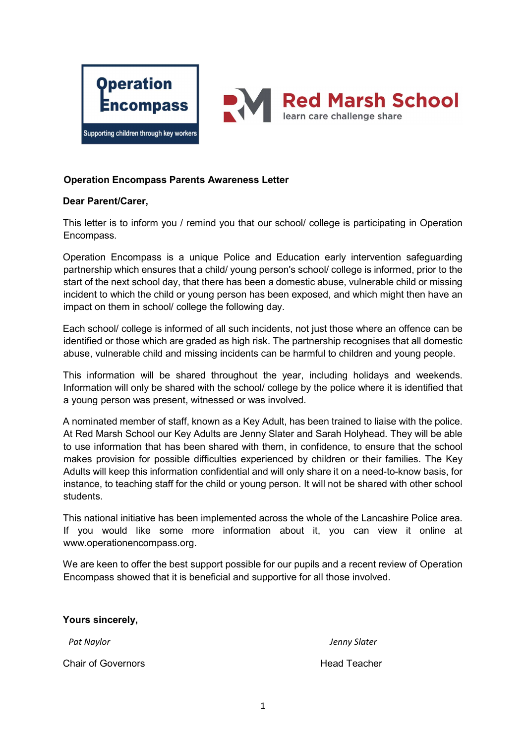



## Operation Encompass Parents Awareness Letter

## Dear Parent/Carer,

This letter is to inform you / remind you that our school/ college is participating in Operation Encompass.

Operation Encompass is a unique Police and Education early intervention safeguarding partnership which ensures that a child/ young person's school/ college is informed, prior to the start of the next school day, that there has been a domestic abuse, vulnerable child or missing incident to which the child or young person has been exposed, and which might then have an impact on them in school/ college the following day.

Each school/ college is informed of all such incidents, not just those where an offence can be identified or those which are graded as high risk. The partnership recognises that all domestic abuse, vulnerable child and missing incidents can be harmful to children and young people.

This information will be shared throughout the year, including holidays and weekends. Information will only be shared with the school/ college by the police where it is identified that a young person was present, witnessed or was involved.

A nominated member of staff, known as a Key Adult, has been trained to liaise with the police. At Red Marsh School our Key Adults are Jenny Slater and Sarah Holyhead. They will be able to use information that has been shared with them, in confidence, to ensure that the school makes provision for possible difficulties experienced by children or their families. The Key Adults will keep this information confidential and will only share it on a need-to-know basis, for instance, to teaching staff for the child or young person. It will not be shared with other school students.

This national initiative has been implemented across the whole of the Lancashire Police area. If you would like some more information about it, you can view it online at www.operationencompass.org.

We are keen to offer the best support possible for our pupils and a recent review of Operation Encompass showed that it is beneficial and supportive for all those involved.

| Yours sincerely,          |                     |
|---------------------------|---------------------|
| Pat Naylor                | Jenny Slater        |
| <b>Chair of Governors</b> | <b>Head Teacher</b> |